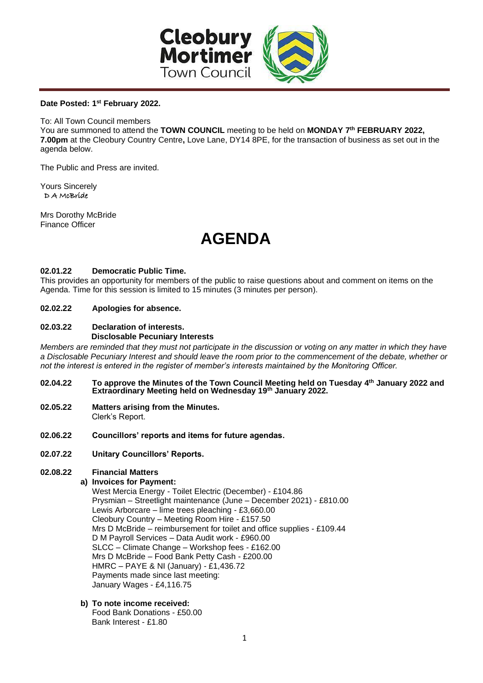

# **Date Posted: 1 st February 2022.**

To: All Town Council members

You are summoned to attend the **TOWN COUNCIL** meeting to be held on **MONDAY 7 th FEBRUARY 2022, 7.00pm** at the Cleobury Country Centre**,** Love Lane, DY14 8PE, for the transaction of business as set out in the agenda below.

The Public and Press are invited.

Yours Sincerely D A McBride

Mrs Dorothy McBride Finance Officer

# **AGENDA**

## **02.01.22 Democratic Public Time.**

This provides an opportunity for members of the public to raise questions about and comment on items on the Agenda. Time for this session is limited to 15 minutes (3 minutes per person).

## **02.02.22 Apologies for absence.**

### **02.03.22 Declaration of interests. Disclosable Pecuniary Interests**

*Members are reminded that they must not participate in the discussion or voting on any matter in which they have a Disclosable Pecuniary Interest and should leave the room prior to the commencement of the debate, whether or not the interest is entered in the register of member's interests maintained by the Monitoring Officer.*

- **02.04.22 To approve the Minutes of the Town Council Meeting held on Tuesday 4th January 2022 and Extraordinary Meeting held on Wednesday 19th January 2022.**
- **02.05.22 Matters arising from the Minutes.**  Clerk's Report.
- **02.06.22 Councillors' reports and items for future agendas.**
- **02.07.22 Unitary Councillors' Reports.**

# **02.08.22 Financial Matters**

# **a) Invoices for Payment:**

West Mercia Energy - Toilet Electric (December) - £104.86 Prysmian – Streetlight maintenance (June – December 2021) - £810.00 Lewis Arborcare – lime trees pleaching - £3,660.00 Cleobury Country – Meeting Room Hire - £157.50 Mrs D McBride – reimbursement for toilet and office supplies - £109.44 D M Payroll Services – Data Audit work - £960.00 SLCC – Climate Change – Workshop fees - £162.00 Mrs D McBride – Food Bank Petty Cash - £200.00 HMRC – PAYE & NI (January) - £1,436.72 Payments made since last meeting: January Wages - £4,116.75

#### **b) To note income received:** Food Bank Donations - £50.00 Bank Interest - £1.80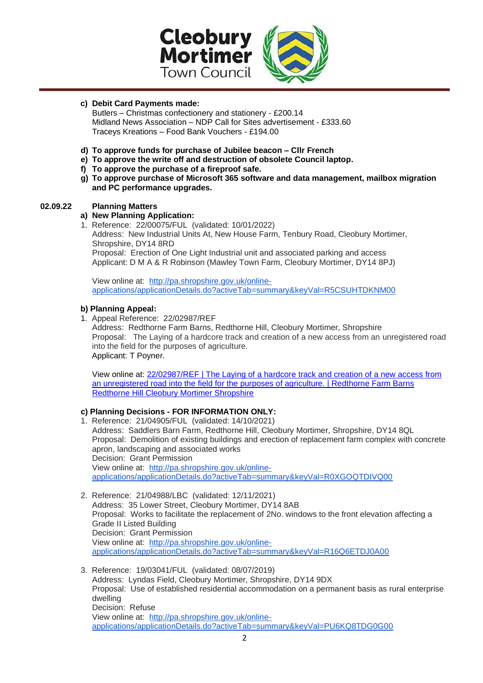

# **c) Debit Card Payments made:**

Butlers – Christmas confectionery and stationery - £200.14 Midland News Association – NDP Call for Sites advertisement - £333.60 Traceys Kreations – Food Bank Vouchers - £194.00

- **d) To approve funds for purchase of Jubilee beacon – Cllr French**
- **e) To approve the write off and destruction of obsolete Council laptop.**
- **f) To approve the purchase of a fireproof safe.**
- **g) To approve purchase of Microsoft 365 software and data management, mailbox migration and PC performance upgrades.**

## **02.09.22 Planning Matters**

## **a) New Planning Application:**

1. Reference: 22/00075/FUL (validated: 10/01/2022) Address: New Industrial Units At, New House Farm, Tenbury Road, Cleobury Mortimer, Shropshire, DY14 8RD Proposal: Erection of One Light Industrial unit and associated parking and access Applicant: D M A & R Robinson (Mawley Town Farm, Cleobury Mortimer, DY14 8PJ)

View online at: [http://pa.shropshire.gov.uk/online](http://pa.shropshire.gov.uk/online-applications/applicationDetails.do?activeTab=summary&keyVal=R5CSUHTDKNM00)[applications/applicationDetails.do?activeTab=summary&keyVal=R5CSUHTDKNM00](http://pa.shropshire.gov.uk/online-applications/applicationDetails.do?activeTab=summary&keyVal=R5CSUHTDKNM00)

## **b) Planning Appeal:**

- 1. Appeal Reference: 22/02987/REF
	- Address: Redthorne Farm Barns, Redthorne Hill, Cleobury Mortimer, Shropshire Proposal: The Laying of a hardcore track and creation of a new access from an unregistered road into the field for the purposes of agriculture. Applicant: T Poyner.

View online at: [22/02987/REF | The Laying of a hardcore track and creation of a new access from](https://pa.shropshire.gov.uk/online-applications/simpleSearchResults.do?action=firstPage)  [an unregistered road into the field for the purposes of agriculture. | Redthorne Farm Barns](https://pa.shropshire.gov.uk/online-applications/simpleSearchResults.do?action=firstPage)  [Redthorne Hill Cleobury Mortimer Shropshire](https://pa.shropshire.gov.uk/online-applications/simpleSearchResults.do?action=firstPage)

# **c) Planning Decisions - FOR INFORMATION ONLY:**

- 1. Reference: 21/04905/FUL (validated: 14/10/2021) Address: Saddlers Barn Farm, Redthorne Hill, Cleobury Mortimer, Shropshire, DY14 8QL Proposal: Demolition of existing buildings and erection of replacement farm complex with concrete apron, landscaping and associated works Decision: Grant Permission View online at: [http://pa.shropshire.gov.uk/online](http://pa.shropshire.gov.uk/online-applications/applicationDetails.do?activeTab=summary&keyVal=R0XGOQTDIVQ00)[applications/applicationDetails.do?activeTab=summary&keyVal=R0XGOQTDIVQ00](http://pa.shropshire.gov.uk/online-applications/applicationDetails.do?activeTab=summary&keyVal=R0XGOQTDIVQ00)
- 2. Reference: 21/04988/LBC (validated: 12/11/2021) Address: 35 Lower Street, Cleobury Mortimer, DY14 8AB Proposal: Works to facilitate the replacement of 2No. windows to the front elevation affecting a Grade II Listed Building Decision: Grant Permission View online at: [http://pa.shropshire.gov.uk/online](http://pa.shropshire.gov.uk/online-applications/applicationDetails.do?activeTab=summary&keyVal=R16Q6ETDJ0A00)[applications/applicationDetails.do?activeTab=summary&keyVal=R16Q6ETDJ0A00](http://pa.shropshire.gov.uk/online-applications/applicationDetails.do?activeTab=summary&keyVal=R16Q6ETDJ0A00)
- 3. Reference: 19/03041/FUL (validated: 08/07/2019) Address: Lyndas Field, Cleobury Mortimer, Shropshire, DY14 9DX Proposal: Use of established residential accommodation on a permanent basis as rural enterprise dwelling Decision: Refuse View online at: [http://pa.shropshire.gov.uk/online](http://pa.shropshire.gov.uk/online-applications/applicationDetails.do?activeTab=summary&keyVal=PU6KQ8TDG0G00)[applications/applicationDetails.do?activeTab=summary&keyVal=PU6KQ8TDG0G00](http://pa.shropshire.gov.uk/online-applications/applicationDetails.do?activeTab=summary&keyVal=PU6KQ8TDG0G00)